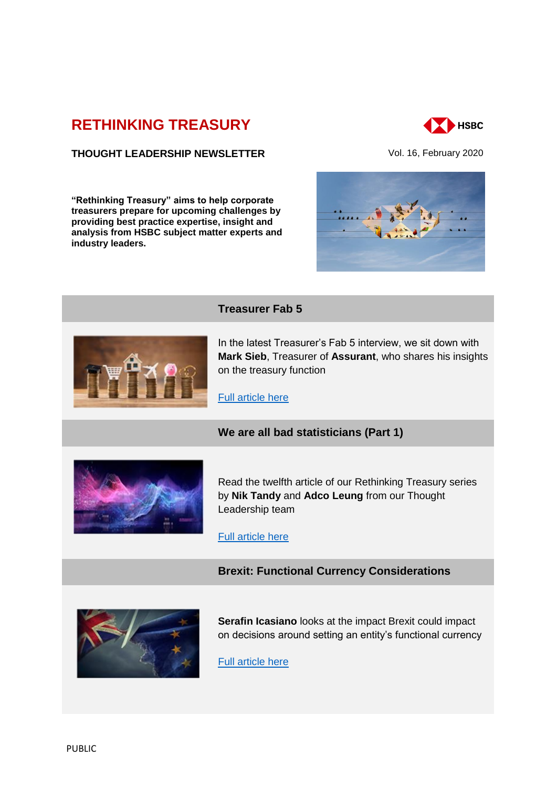# **[RETHINKING TREASURY](http://www.gbm.hsbc.com/the-new-future#rethinking-treasury)**



# **THOUGHT LEADERSHIP NEWSLETTER** Vol. 16, February 2020

**"Rethinking Treasury" aims to help corporate treasurers prepare for upcoming challenges by providing best practice expertise, insight and analysis from HSBC subject matter experts and industry leaders.** 





# **Treasurer Fab 5**

In the latest Treasurer's Fab 5 interview, we sit down with **Mark Sieb**, Treasurer of **Assurant**, who shares his insights on the treasury function

[Full article here](https://gbm-ca01.bwe.pws.internal.hsbc/insights/markets/in-conversation-with-mark-sieb-treasurer-of-assurant?1)

## **We are all bad statisticians (Part 1)**



Read the twelfth article of our Rethinking Treasury series by **Nik Tandy** and **Adco Leung** from our Thought Leadership team

[Full article here](https://gbm-ca01.bwe.pws.internal.hsbc/insights/markets/we-are-all-bad-statisticians-part1?1)

# **Brexit: Functional Currency Considerations**



**Serafin Icasiano** looks at the impact Brexit could impact on decisions around setting an entity's functional currency

[Full article here](https://gbm-ca01.bwe.pws.internal.hsbc/insights/markets/brexit-functional-currency-considerations)